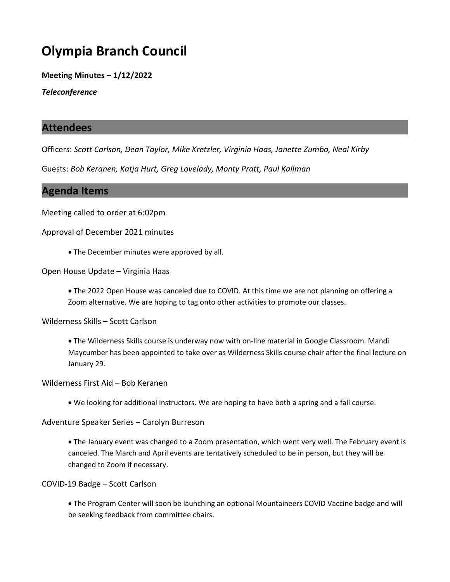# Olympia Branch Council

Meeting Minutes – 1/12/2022

**Teleconference** 

#### Attendees

Officers: Scott Carlson, Dean Taylor, Mike Kretzler, Virginia Haas, Janette Zumbo, Neal Kirby

Guests: Bob Keranen, Katja Hurt, Greg Lovelady, Monty Pratt, Paul Kallman

### Agenda Items

Meeting called to order at 6:02pm

Approval of December 2021 minutes

• The December minutes were approved by all.

Open House Update – Virginia Haas

· The 2022 Open House was canceled due to COVID. At this time we are not planning on offering a Zoom alternative. We are hoping to tag onto other activities to promote our classes.

Wilderness Skills – Scott Carlson

· The Wilderness Skills course is underway now with on-line material in Google Classroom. Mandi Maycumber has been appointed to take over as Wilderness Skills course chair after the final lecture on January 29.

Wilderness First Aid – Bob Keranen

· We looking for additional instructors. We are hoping to have both a spring and a fall course.

Adventure Speaker Series – Carolyn Burreson

· The January event was changed to a Zoom presentation, which went very well. The February event is canceled. The March and April events are tentatively scheduled to be in person, but they will be changed to Zoom if necessary.

COVID-19 Badge – Scott Carlson

· The Program Center will soon be launching an optional Mountaineers COVID Vaccine badge and will be seeking feedback from committee chairs.